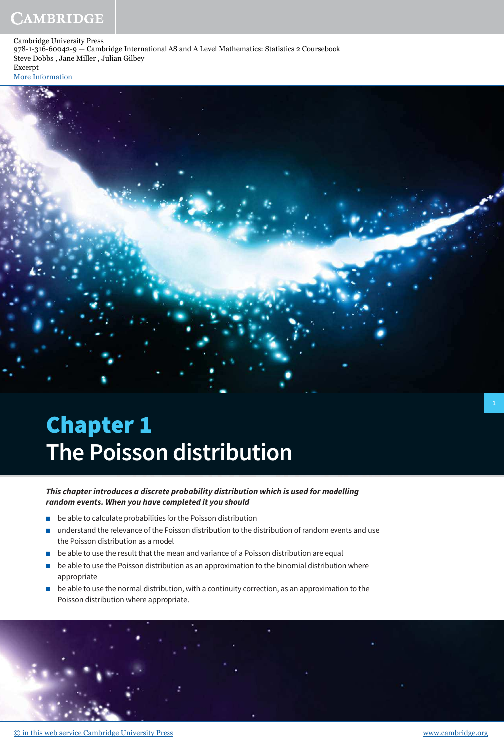[More Information](www.cambridge.org/9781316600429)



# Chapter 1 **The Poisson distribution**

**This chapter introduces a discrete probability distribution which is used for modelling random events. When you have completed it you should**

- be able to calculate probabilities for the Poisson distribution
- understand the relevance of the Poisson distribution to the distribution of random events and use the Poisson distribution as a model
- be able to use the result that the mean and variance of a Poisson distribution are equal
- be able to use the Poisson distribution as an approximation to the binomial distribution where appropriate
- be able to use the normal distribution, with a continuity correction, as an approximation to the Poisson distribution where appropriate.

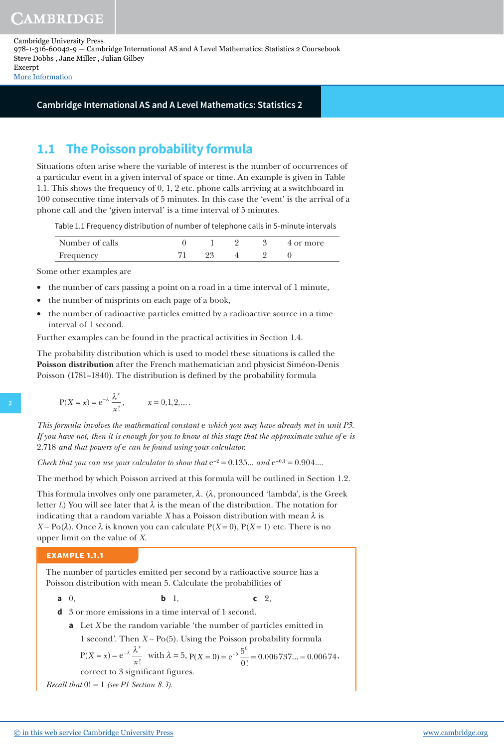**Cambridge International AS and A Level Mathematics: Statistics 2**

# **1.1 The Poisson probability formula**

Situations often arise where the variable of interest is the number of occurrences of a particular event in a given interval of space or time. An example is given in Table 1.1. This shows the frequency of 0, 1, 2 etc. phone calls arriving at a switchboard in 100 consecutive time intervals of 5 minutes. In this case the 'event' is the arrival of a phone call and the 'given interval' is a time interval of 5 minutes.

Table 1.1 Frequency distribution of number of telephone calls in 5-minute intervals

| Number of calls |     |  | 4 or more |
|-----------------|-----|--|-----------|
| Frequency       | ں ک |  |           |

Some other examples are

- the number of cars passing a point on a road in a time interval of 1 minute,
- the number of misprints on each page of a book,
- the number of radioactive particles emitted by a radioactive source in a time interval of 1 second.

Further examples can be found in the practical activities in Section 1.4.

The probability distribution which is used to model these situations is called the **Poisson distribution** after the French mathematician and physicist Siméon-Denis Poisson (1781–1840). The distribution is defined by the probability formula

$$
P(X = x) = e^{-\lambda} \frac{\lambda^x}{x!}
$$
,  $x = 0, 1, 2,...$ 

*This formula involves the mathematical constant* e *which you may have already met in unit P3. If you have not, then it is enough for you to know at this stage that the approximate value of* e *is* 2.718 *and that powers of* e *can be found using your calculator.*

*Check that you can use your calculator to show that*  $e^{-2} = 0.135...$  *and*  $e^{-0.1} = 0.904...$ 

The method by which Poisson arrived at this formula will be outlined in Section 1.2.

This formula involves only one parameter,  $\lambda$ . ( $\lambda$ , pronounced 'lambda', is the Greek letter *l*.) You will see later that  $\lambda$  is the mean of the distribution. The notation for indicating that a random variable *X* has a Poisson distribution with mean  $\lambda$  is *X* ∼ Po(λ). Once λ is known you can calculate P(*X* = 0), P(*X* = 1) etc. There is no upper limit on the value of *X*.

#### **EXAMPLE 1.1.1**

The number of particles emitted per second by a radioactive source has a Poisson distribution with mean 5. Calculate the probabilities of

- **a** 0, **b** 1, **c** 2,
	- **d** 3 or more emissions in a time interval of 1 second.
		- **a** Let *X* be the random variable 'the number of particles emitted in

1 second'. Then *X* ∼ Po(5). Using the Poisson probability formula

$$
P(X = x) = e^{-\lambda} \frac{\lambda^x}{x!}
$$
 with  $\lambda = 5$ ,  $P(X = 0) = e^{-5} \frac{5^0}{0!} = 0.006737... = 0.00674$ ,  
correct to 3 significant figures.

*Recall that* 0! = 1 *(see P1 Section 8.3).*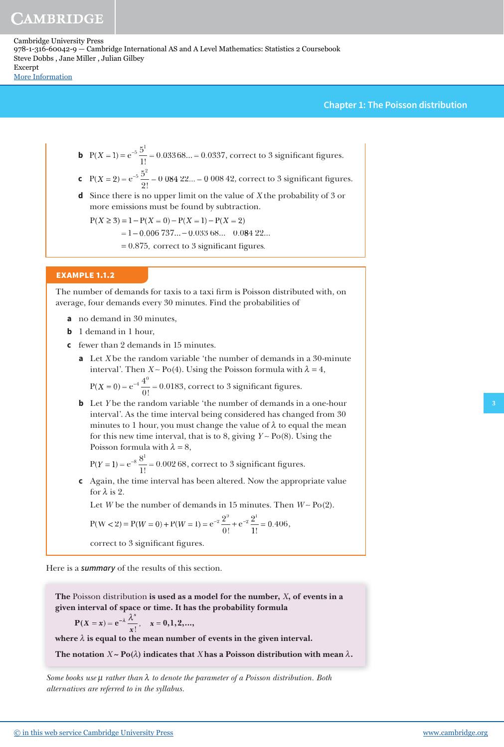#### **Chapter 1: The Poisson distribution**

- **b**  $P(X = 1) = e^{-5} \frac{3}{11} = 0.03368... = 0.0337$ !  $= e^{-5} \frac{5^1}{1!} = 0.03368... = 0.$ 1  $0.03368... = 0.033$ 1 , correct to 3 significant figures.
- **c**  $P(X = 2) = e^{-5} \frac{0}{0.21} = 0.08422... = 0.00842$ !  $= e^{-5} \frac{5^2}{\Omega} = 0.08422... = 0.$ 2  $0.08422... = 0.008$ 2 , correct to 3 significant figures.
	- **d** Since there is no upper limit on the value of *X* the probability of 3 or more emissions must be found by subtraction.

 $P(X \ge 3) = 1 - P(X = 0) - P(X = 1) - P(X = 2)$ 

- $= 1 0.006737... 0.03368... 0.08422...$ 
	- $= 0.875$ , correct to 3 significant figures.

#### **EXAMPLE 1.1.2**

The number of demands for taxis to a taxi firm is Poisson distributed with, on average, four demands every 30 minutes. Find the probabilities of

- **a** no demand in 30 minutes,
- **b** 1 demand in 1 hour,
- **c** fewer than 2 demands in 15 minutes.
	- **a** Let *X* be the random variable 'the number of demands in a 30-minute interval'. Then  $X \sim Po(4)$ . Using the Poisson formula with  $\lambda = 4$ ,

 $P(X = 0) = e^{-4}$ !  $= e^{-4} \frac{4^{0}}{0!} = 0.$ 0 0.0183 0 , correct to 3 significant figures.

**b** Let *Y* be the random variable 'the number of demands in a one-hour interval'. As the time interval being considered has changed from 30 minutes to 1 hour, you must change the value of  $\lambda$  to equal the mean for this new time interval, that is to 8, giving *Y* ∼ Po(8). Using the Poisson formula with  $\lambda = 8$ ,

$$
P(Y = 1) = e^{-8} \frac{8^1}{1!} = 0.00268
$$
, correct to 3 significant figures.

 **c** Again, the time interval has been altered. Now the appropriate value for  $\lambda$  is 2.

Let *W* be the number of demands in 15 minutes. Then *W* ∼ Po(2).

$$
P(W < 2) = P(W = 0) + P(W = 1) = e^{-2} \frac{2^{0}}{0!} + e^{-2} \frac{2^{1}}{1!} = 0.406,
$$

correct to 3 significant figures.

Here is a **summary** of the results of this section.

**The** Poisson distribution **is used as a model for the number,** *X***, of events in a given interval of space or time. It has the probability formula**

$$
P(X = x) = e^{-\lambda} \frac{\lambda^x}{x!}, \quad x = 0, 1, 2, ...
$$

**where** λ **is equal to the mean number of events in the given interval.**

The notation  $X \sim \text{Po}(\lambda)$  indicates that *X* has a Poisson distribution with mean  $\lambda$ .

*Some books use* µ *rather than* λ *to denote the parameter of a Poisson distribution. Both alternatives are referred to in the syllabus.*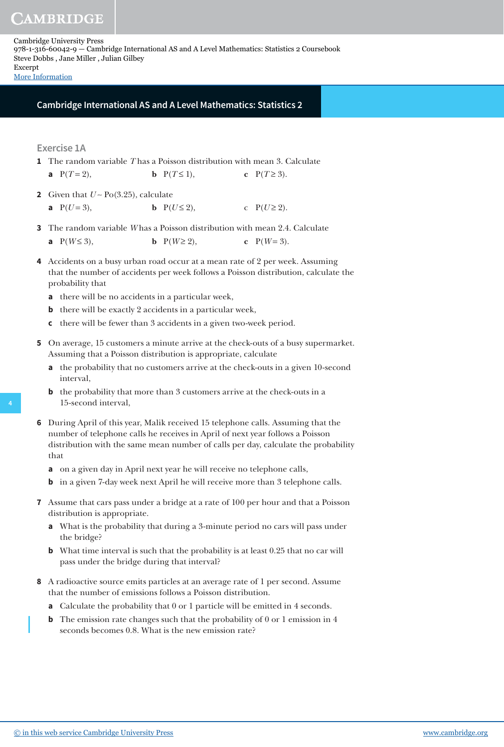**AMBRIDGE** 

Cambridge University Press 978-1-316-60042-9 — Cambridge International AS and A Level Mathematics: Statistics 2 Coursebook Steve Dobbs , Jane Miller , Julian Gilbey Excerpt

[More Information](www.cambridge.org/9781316600429)

## **Cambridge International AS and A Level Mathematics: Statistics 2**

**Exercise 1A**

- **1** The random variable *T* has a Poisson distribution with mean 3. Calculate
	- **a**  $P(T=2)$ , **b**  $P(T \le 1)$ , **c**  $P(T \ge 3)$ .
- **2** Given that *U* ∼ Po(3.25), calculate
	- **a**  $P(U=3)$ , **b**  $P(U\leq 2)$ , **c**  $P(U\geq 2)$ .
- **3** The random variable *W* has a Poisson distribution with mean 2.4. Calculate
	- **a**  $P(W \le 3)$ , **b**  $P(W \ge 2)$ , **c**  $P(W = 3)$ .
- **4** Accidents on a busy urban road occur at a mean rate of 2 per week. Assuming that the number of accidents per week follows a Poisson distribution, calculate the probability that
	- **a** there will be no accidents in a particular week,
	- **b** there will be exactly 2 accidents in a particular week,
	- **c** there will be fewer than 3 accidents in a given two-week period.
- **5** On average, 15 customers a minute arrive at the check-outs of a busy supermarket. Assuming that a Poisson distribution is appropriate, calculate
	- **a** the probability that no customers arrive at the check-outs in a given 10-second interval,
	- **b** the probability that more than 3 customers arrive at the check-outs in a 15-second interval,
- **6** During April of this year, Malik received 15 telephone calls. Assuming that the number of telephone calls he receives in April of next year follows a Poisson distribution with the same mean number of calls per day, calculate the probability that
	- **a** on a given day in April next year he will receive no telephone calls,
	- **b** in a given 7-day week next April he will receive more than 3 telephone calls.
- **7** Assume that cars pass under a bridge at a rate of 100 per hour and that a Poisson distribution is appropriate.
	- **a** What is the probability that during a 3-minute period no cars will pass under the bridge?
	- **b** What time interval is such that the probability is at least 0.25 that no car will pass under the bridge during that interval?
- **8** A radioactive source emits particles at an average rate of 1 per second. Assume that the number of emissions follows a Poisson distribution.
	- **a** Calculate the probability that 0 or 1 particle will be emitted in 4 seconds.
	- **b** The emission rate changes such that the probability of 0 or 1 emission in 4 seconds becomes 0.8. What is the new emission rate?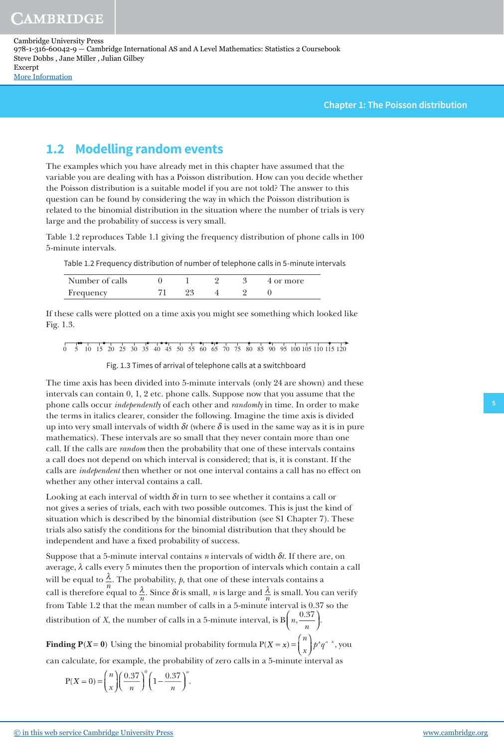#### **Chapter 1: The Poisson distribution**

## **1.2 Modelling random events**

The examples which you have already met in this chapter have assumed that the variable you are dealing with has a Poisson distribution. How can you decide whether the Poisson distribution is a suitable model if you are not told? The answer to this question can be found by considering the way in which the Poisson distribution is related to the binomial distribution in the situation where the number of trials is very large and the probability of success is very small.

Table 1.2 reproduces Table 1.1 giving the frequency distribution of phone calls in 100 5-minute intervals.

Table 1.2 Frequency distribution of number of telephone calls in 5-minute intervals

| Number of calls |  |  | 4 or more |
|-----------------|--|--|-----------|
| Frequency       |  |  |           |

If these calls were plotted on a time axis you might see something which looked like Fig. 1.3.

 $\overline{0}$  5 10 15 20 25 30 35 40 45 50 55 60 65 70 75 80 85 90 95 100 105 110 115 120

Fig. 1.3 Times of arrival of telephone calls at a switchboard

The time axis has been divided into 5-minute intervals (only 24 are shown) and these intervals can contain 0, 1, 2 etc. phone calls. Suppose now that you assume that the phone calls occur *independently* of each other and *randomly* in time. In order to make the terms in italics clearer, consider the following. Imagine the time axis is divided up into very small intervals of width  $\delta t$  (where  $\delta$  is used in the same way as it is in pure mathematics). These intervals are so small that they never contain more than one call. If the calls are *random* then the probability that one of these intervals contains a call does not depend on which interval is considered; that is, it is constant. If the calls are *independent* then whether or not one interval contains a call has no effect on whether any other interval contains a call.

Looking at each interval of width  $\delta t$  in turn to see whether it contains a call or not gives a series of trials, each with two possible outcomes. This is just the kind of situation which is described by the binomial distribution (see S1 Chapter 7). These trials also satisfy the conditions for the binomial distribution that they should be independent and have a fixed probability of success.

Suppose that a 5-minute interval contains *n* intervals of width δ*t*. If there are, on average,  $\lambda$  calls every 5 minutes then the proportion of intervals which contain a call will be equal to  $\frac{\lambda}{n}$ . The probability, *p*, that one of these intervals contains a call is therefore equal to  $\frac{\lambda}{n}$ . Since  $\delta t$  is small, *n* is large and  $\frac{\lambda}{n}$  is small. You can verify from Table 1.2 that the mean number of calls in a 5-minute interval is 0.37 so the distribution of *X*, the number of calls in a 5-minute interval, is  $B\vert n$ *n*  $\left(n,\frac{0.37}{\cdots}\right)$ ∖  $\overline{a}$  $\int$ 

**Finding P**(**X**= **0**) Using the binomial probability formula P(*X* = *x*) =  $\binom{n}{k} p^x q^{n-x}$ ,  $=\binom{n}{x} p^x q^{n-x}$ l  $\overline{a}$  $\int p^x q^{n-x}$ , you can calculate, for example, the probability of zero calls in a 5-minute interval as

$$
P(X = 0) = {n \choose x} \left(\frac{0.37}{n}\right)^0 \left(1 - \frac{0.37}{n}\right)^n.
$$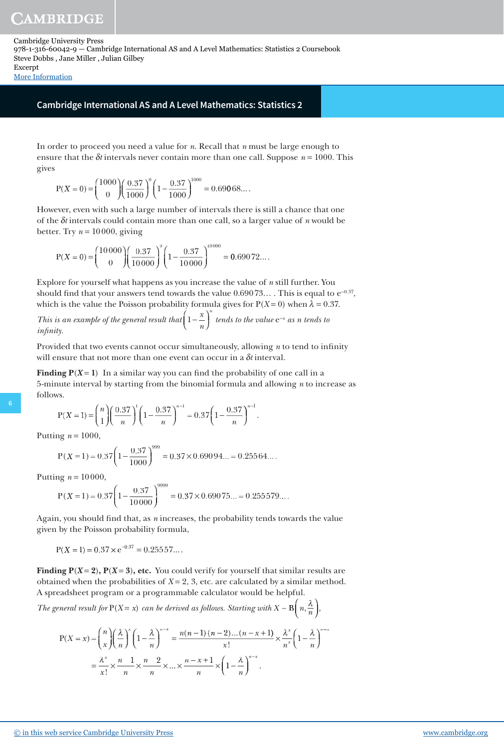[More Information](www.cambridge.org/9781316600429)

#### **Cambridge International AS and A Level Mathematics: Statistics 2**

In order to proceed you need a value for *n*. Recall that *n* must be large enough to ensure that the  $\delta t$  intervals never contain more than one call. Suppose  $n = 1000$ . This gives

$$
P(X=0) = {1000 \choose 0} \left(\frac{0.37}{1000}\right)^0 \left(1 - \frac{0.37}{1000}\right)^{1000} = 0.69068...
$$

However, even with such a large number of intervals there is still a chance that one of the δ*t* intervals could contain more than one call, so a larger value of *n* would be better. Try  $n = 10000$ , giving

$$
P(X=0) = {10000 \choose 0} \left(\frac{0.37}{10000}\right)^0 \left(1 - \frac{0.37}{10000}\right)^{10000} = 0.69072...
$$

Explore for yourself what happens as you increase the value of *n* still further. You should find that your answers tend towards the value  $0.69073...$  . This is equal to  $e^{-0.37}$ , which is the value the Poisson probability formula gives for  $P(X=0)$  when  $\lambda = 0.37$ .

*This is an example of the general result that*  $\left(1-\frac{1}{\sqrt{2}}\right)$ ∖  $\overline{a}$  $\bigg)$ *x n n tends to the value* e–*<sup>x</sup> as n tends to*   $in$ *finity*.

Provided that two events cannot occur simultaneously, allowing *n* to tend to infinity will ensure that not more than one event can occur in a δ*t* interval.

**Finding**  $P(X = 1)$  In a similar way you can find the probability of one call in a 5-minute interval by starting from the binomial formula and allowing *n* to increase as follows.

.

$$
P(X=1) = {n \choose 1} \left(\frac{0.37}{n}\right)^1 \left(1 - \frac{0.37}{n}\right)^{n-1} = 0.37 \left(1 - \frac{0.37}{n}\right)^{n-1}
$$

Putting  $n = 1000$ ,

$$
P(X = 1) = 0.37 \left( 1 - \frac{0.37}{1000} \right)^{999} = 0.37 \times 0.69094... = 0.25564...
$$

Putting  $n = 10000$ ,

$$
P(X = 1) = 0.37 \left( 1 - \frac{0.37}{10000} \right)^{9999} = 0.37 \times 0.69075... = 0.255579...
$$

Again, you should find that, as *n* increases, the probability tends towards the value given by the Poisson probability formula,

$$
P(X = 1) = 0.37 \times e^{-0.37} = 0.25557...
$$

**Finding P(X = 2), P(X = 3), etc.** You could verify for yourself that similar results are obtained when the probabilities of  $X = 2$ , 3, etc. are calculated by a similar method. A spreadsheet program or a programmable calculator would be helpful.

*The general result for*  $P(X = x)$  *can be derived as follows. Starting with*  $X \sim B\left(n, \frac{\lambda}{n}\right)$ ∖  $\lambda$  $\int$ 

$$
P(X = x) = {n \choose x} \left(\frac{\lambda}{n}\right)^x \left(1 - \frac{\lambda}{n}\right)^{n-x} = \frac{n(n-1)(n-2)\dots(n-x+1)}{x!} \times \frac{\lambda^x}{n^x} \left(1 - \frac{\lambda}{n}\right)^{n-x}
$$

$$
= \frac{\lambda^x}{x!} \times \frac{n-1}{n} \times \frac{n-2}{n} \times \dots \times \frac{n-x+1}{n} \times \left(1 - \frac{\lambda}{n}\right)^{n-x}.
$$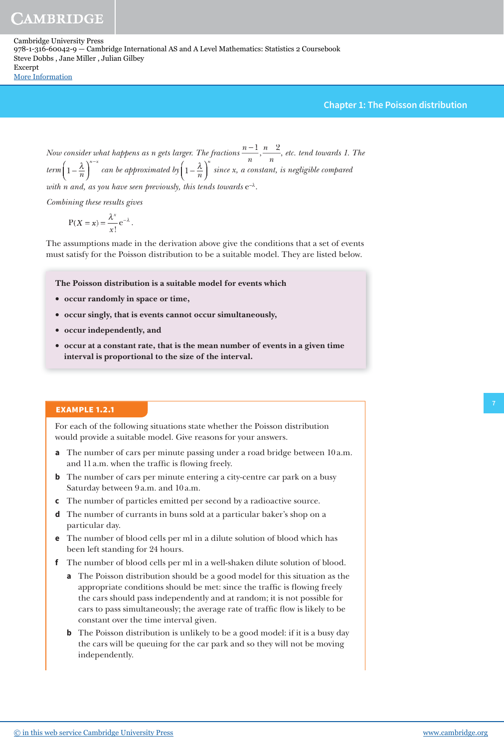#### **Chapter 1: The Poisson distribution**

Now consider what happens as n gets larger. The fractions 
$$
\frac{n-1}{n}, \frac{n-2}{n}
$$
, etc. tend towards 1. The term  $\left(1 - \frac{\lambda}{n}\right)^{n-x}$  can be approximated by  $\left(1 - \frac{\lambda}{n}\right)^n$  since x, a constant, is negligible compared

with n and, as you have seen previously, this tends towards  $e^{-\lambda}$ .

*Combining these results gives*

$$
P(X = x) = \frac{\lambda^x}{x!} e^{-\lambda}.
$$

The assumptions made in the derivation above give the conditions that a set of events must satisfy for the Poisson distribution to be a suitable model. They are listed below.

#### **The Poisson distribution is a suitable model for events which**

- **occur randomly in space or time,**
- **occur singly, that is events cannot occur simultaneously,**
- **occur independently, and**
- **occur at a constant rate, that is the mean number of events in a given time interval is proportional to the size of the interval.**

#### **EXAMPLE 1.2.1**

For each of the following situations state whether the Poisson distribution would provide a suitable model. Give reasons for your answers.

- **a** The number of cars per minute passing under a road bridge between 10 a.m. and 11 a.m. when the traffic is flowing freely.
- **b** The number of cars per minute entering a city-centre car park on a busy Saturday between 9 a.m. and 10 a.m.
- **c** The number of particles emitted per second by a radioactive source.
- **d** The number of currants in buns sold at a particular baker's shop on a particular day.
- **e** The number of blood cells per ml in a dilute solution of blood which has been left standing for 24 hours.
- **f** The number of blood cells per ml in a well-shaken dilute solution of blood.
	- **a** The Poisson distribution should be a good model for this situation as the appropriate conditions should be met: since the traffic is flowing freely the cars should pass independently and at random; it is not possible for cars to pass simultaneously; the average rate of traffic flow is likely to be constant over the time interval given.
	- **b** The Poisson distribution is unlikely to be a good model: if it is a busy day the cars will be queuing for the car park and so they will not be moving independently.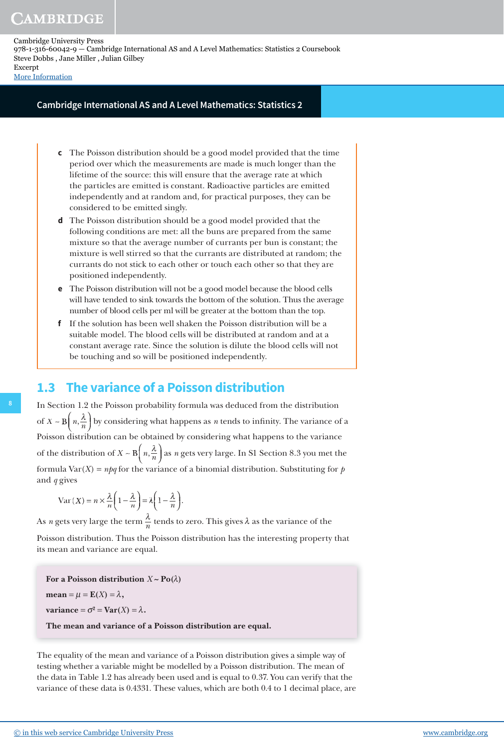[More Information](www.cambridge.org/9781316600429)

#### **Cambridge International AS and A Level Mathematics: Statistics 2**

- **c** The Poisson distribution should be a good model provided that the time period over which the measurements are made is much longer than the lifetime of the source: this will ensure that the average rate at which the particles are emitted is constant. Radioactive particles are emitted independently and at random and, for practical purposes, they can be considered to be emitted singly.
- **d** The Poisson distribution should be a good model provided that the following conditions are met: all the buns are prepared from the same mixture so that the average number of currants per bun is constant; the mixture is well stirred so that the currants are distributed at random; the currants do not stick to each other or touch each other so that they are positioned independently.
- **e** The Poisson distribution will not be a good model because the blood cells will have tended to sink towards the bottom of the solution. Thus the average number of blood cells per ml will be greater at the bottom than the top.
- **f** If the solution has been well shaken the Poisson distribution will be a suitable model. The blood cells will be distributed at random and at a constant average rate. Since the solution is dilute the blood cells will not be touching and so will be positioned independently.

## **1.3 The variance of a Poisson distribution**

In Section 1.2 the Poisson probability formula was deduced from the distribution of  $X \sim B\left(n, \frac{\lambda}{n}\right)$ ∖  $\bigg)$ by considering what happens as  $n$  tends to infinity. The variance of a Poisson distribution can be obtained by considering what happens to the variance of the distribution of  $X \sim B\left(n, \frac{\lambda}{n}\right)$ ∖  $\overline{a}$  as *n* gets very large. In S1 Section 8.3 you met the formula  $Var(X) = npq$  for the variance of a binomial distribution. Substituting for *p* and *q* gives

$$
\text{Var}(X) = n \times \frac{\lambda}{n} \left( 1 - \frac{\lambda}{n} \right) = \lambda \left( 1 - \frac{\lambda}{n} \right).
$$

As *n* gets very large the term  $\frac{\lambda}{n}$  tends to zero. This gives  $\lambda$  as the variance of the

Poisson distribution. Thus the Poisson distribution has the interesting property that its mean and variance are equal.

**For a Poisson distribution**  $X \sim \text{Po}(\lambda)$  $mean = \mu = E(X) = \lambda$ , **variance** =  $\sigma^2$  = **Var**(*X*) =  $\lambda$ .

**The mean and variance of a Poisson distribution are equal.**

The equality of the mean and variance of a Poisson distribution gives a simple way of testing whether a variable might be modelled by a Poisson distribution. The mean of the data in Table 1.2 has already been used and is equal to 0.37. You can verify that the variance of these data is 0.4331. These values, which are both 0.4 to 1 decimal place, are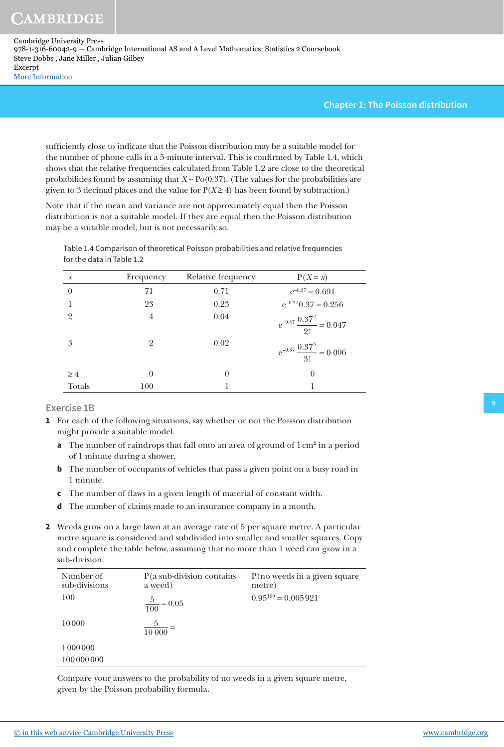#### **Chapter 1: The Poisson distribution**

sufficiently close to indicate that the Poisson distribution may be a suitable model for the number of phone calls in a 5-minute interval. This is confirmed by Table 1.4, which shows that the relative frequencies calculated from Table 1.2 are close to the theoretical probabilities found by assuming that *X* ∼ Po(0.37). (The values for the probabilities are given to 3 decimal places and the value for  $P(X \ge 4)$  has been found by subtraction.)

Note that if the mean and variance are not approximately equal then the Poisson distribution is not a suitable model. If they are equal then the Poisson distribution may be a suitable model, but is not necessarily so.

Table 1.4 Comparison of theoretical Poisson probabilities and relative frequencies for the data in Table 1.2

| $\mathcal{X}$  | Frequency      | Relative frequency | $P(X = x)$                            |
|----------------|----------------|--------------------|---------------------------------------|
| $\Omega$       | 71             | 0.71               | $e^{-0.37} = 0.691$                   |
|                | 23             | 0.23               | $e^{-0.37}$ 0.37 = 0.256              |
| $\overline{2}$ | $\overline{4}$ | 0.04               | $e^{-0.37}\frac{0.37^2}{2!} = 0.047$  |
| 3              | $\overline{2}$ | 0.02               | $e^{-0.37} \frac{0.37^3}{3!} = 0.006$ |
| $\geq 4$       | $\theta$       | $\Omega$           | $\theta$                              |
| <b>Totals</b>  | 100            |                    |                                       |

**Exercise 1B**

- **1** For each of the following situations, say whether or not the Poisson distribution might provide a suitable model.
- **a** The number of raindrops that fall onto an area of ground of  $1 \text{ cm}^2$  in a period of 1 minute during a shower.
	- **b** The number of occupants of vehicles that pass a given point on a busy road in 1 minute.
	- **c** The number of flaws in a given length of material of constant width.
	- **d** The number of claims made to an insurance company in a month.
- **2** Weeds grow on a large lawn at an average rate of 5 per square metre. A particular metre square is considered and subdivided into smaller and smaller squares. Copy and complete the table below, assuming that no more than 1 weed can grow in a sub-division.

| Number of<br>sub-divisions | P(a sub-division contains<br>a weed) | P(no weeds in a given square<br>metre) |
|----------------------------|--------------------------------------|----------------------------------------|
| 100                        | $\frac{5}{100} = 0.05$               | $0.95^{100} = 0.005921$                |
| 10000                      | 5<br>10 000                          |                                        |
| 1 000 000                  |                                      |                                        |
| 100 000 000                |                                      |                                        |

 Compare your answers to the probability of no weeds in a given square metre, given by the Poisson probability formula.